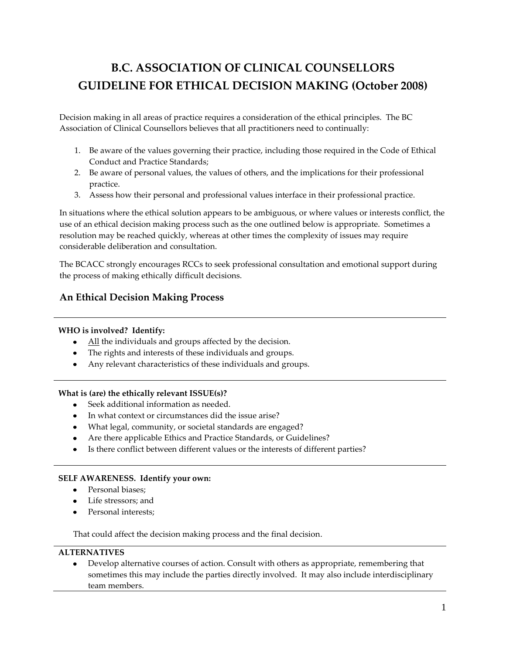# **B.C. ASSOCIATION OF CLINICAL COUNSELLORS GUIDELINE FOR ETHICAL DECISION MAKING (October 2008)**

Decision making in all areas of practice requires a consideration of the ethical principles. The BC Association of Clinical Counsellors believes that all practitioners need to continually:

- 1. Be aware of the values governing their practice, including those required in the Code of Ethical Conduct and Practice Standards;
- 2. Be aware of personal values, the values of others, and the implications for their professional practice.
- 3. Assess how their personal and professional values interface in their professional practice.

In situations where the ethical solution appears to be ambiguous, or where values or interests conflict, the use of an ethical decision making process such as the one outlined below is appropriate. Sometimes a resolution may be reached quickly, whereas at other times the complexity of issues may require considerable deliberation and consultation.

The BCACC strongly encourages RCCs to seek professional consultation and emotional support during the process of making ethically difficult decisions.

# **An Ethical Decision Making Process**

## **WHO is involved? Identify:**

- All the individuals and groups affected by the decision.
- The rights and interests of these individuals and groups.
- Any relevant characteristics of these individuals and groups.

## **What is (are) the ethically relevant ISSUE(s)?**

- Seek additional information as needed.
- In what context or circumstances did the issue arise?
- What legal, community, or societal standards are engaged?
- Are there applicable Ethics and Practice Standards, or Guidelines?
- Is there conflict between different values or the interests of different parties?

## **SELF AWARENESS. Identify your own:**

- Personal biases;
- Life stressors; and
- Personal interests;

That could affect the decision making process and the final decision.

## **ALTERNATIVES**

Develop alternative courses of action. Consult with others as appropriate, remembering that sometimes this may include the parties directly involved. It may also include interdisciplinary team members.